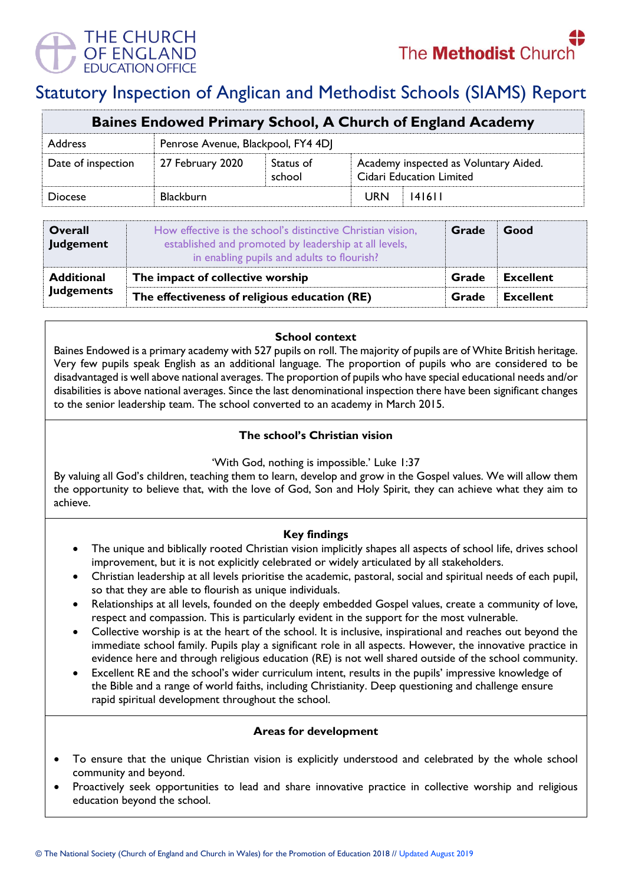

# Statutory Inspection of Anglican and Methodist Schools (SIAMS) Report

| Baines Endowed Primary School, A Church of England Academy |                                    |                     |                                                                          |  |  |  |
|------------------------------------------------------------|------------------------------------|---------------------|--------------------------------------------------------------------------|--|--|--|
| <b>Address</b>                                             | Penrose Avenue, Blackpool, FY4 4DJ |                     |                                                                          |  |  |  |
| Date of inspection                                         | 27 February 2020                   | Status of<br>school | Academy inspected as Voluntary Aided.<br><b>Cidari Education Limited</b> |  |  |  |
| <b>Diocese</b>                                             | <b>Blackburn</b>                   |                     | <b>URN</b><br>141611                                                     |  |  |  |

| <b>Overall</b><br>Judgement | How effective is the school's distinctive Christian vision,<br>established and promoted by leadership at all levels,<br>in enabling pupils and adults to flourish? | Grade | Good             |
|-----------------------------|--------------------------------------------------------------------------------------------------------------------------------------------------------------------|-------|------------------|
| <b>Additional</b>           | The impact of collective worship                                                                                                                                   |       | <b>Excellent</b> |
| <b>Judgements</b>           | The effectiveness of religious education (RE)                                                                                                                      |       | Excellent        |

#### **School context**

Baines Endowed is a primary academy with 527 pupils on roll. The majority of pupils are of White British heritage. Very few pupils speak English as an additional language. The proportion of pupils who are considered to be disadvantaged is well above national averages. The proportion of pupils who have special educational needs and/or disabilities is above national averages. Since the last denominational inspection there have been significant changes to the senior leadership team. The school converted to an academy in March 2015.

## **The school's Christian vision**

'With God, nothing is impossible.' Luke 1:37

By valuing all God's children, teaching them to learn, develop and grow in the Gospel values. We will allow them the opportunity to believe that, with the love of God, Son and Holy Spirit, they can achieve what they aim to achieve.

## **Key findings**

- The unique and biblically rooted Christian vision implicitly shapes all aspects of school life, drives school improvement, but it is not explicitly celebrated or widely articulated by all stakeholders.
- Christian leadership at all levels prioritise the academic, pastoral, social and spiritual needs of each pupil, so that they are able to flourish as unique individuals.
- Relationships at all levels, founded on the deeply embedded Gospel values, create a community of love, respect and compassion. This is particularly evident in the support for the most vulnerable.
- Collective worship is at the heart of the school. It is inclusive, inspirational and reaches out beyond the immediate school family. Pupils play a significant role in all aspects. However, the innovative practice in evidence here and through religious education (RE) is not well shared outside of the school community.
- Excellent RE and the school's wider curriculum intent, results in the pupils' impressive knowledge of the Bible and a range of world faiths, including Christianity. Deep questioning and challenge ensure rapid spiritual development throughout the school.

## **Areas for development**

- To ensure that the unique Christian vision is explicitly understood and celebrated by the whole school community and beyond.
- Proactively seek opportunities to lead and share innovative practice in collective worship and religious education beyond the school.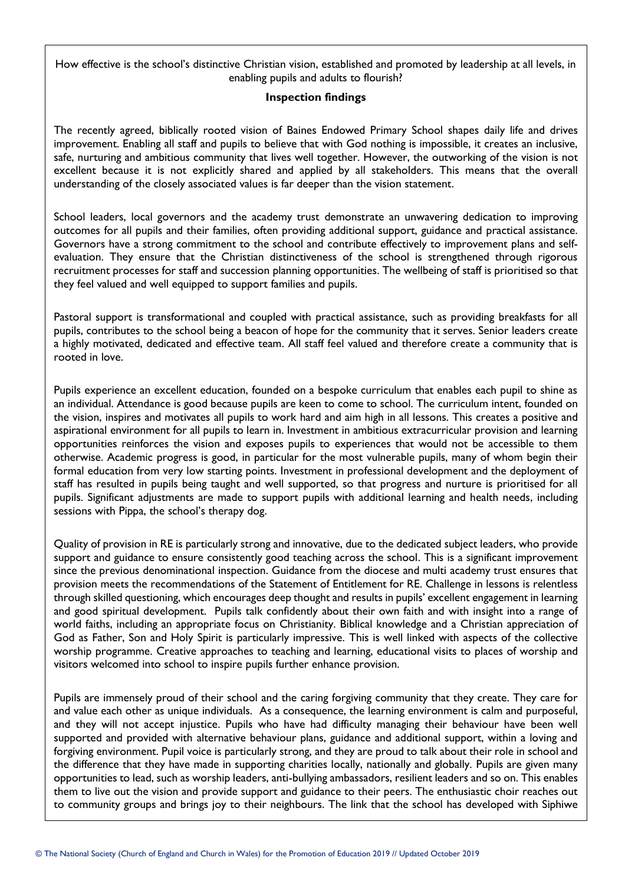How effective is the school's distinctive Christian vision, established and promoted by leadership at all levels, in enabling pupils and adults to flourish?

#### **Inspection findings**

The recently agreed, biblically rooted vision of Baines Endowed Primary School shapes daily life and drives improvement. Enabling all staff and pupils to believe that with God nothing is impossible, it creates an inclusive, safe, nurturing and ambitious community that lives well together. However, the outworking of the vision is not excellent because it is not explicitly shared and applied by all stakeholders. This means that the overall understanding of the closely associated values is far deeper than the vision statement.

School leaders, local governors and the academy trust demonstrate an unwavering dedication to improving outcomes for all pupils and their families, often providing additional support, guidance and practical assistance. Governors have a strong commitment to the school and contribute effectively to improvement plans and selfevaluation. They ensure that the Christian distinctiveness of the school is strengthened through rigorous recruitment processes for staff and succession planning opportunities. The wellbeing of staff is prioritised so that they feel valued and well equipped to support families and pupils.

Pastoral support is transformational and coupled with practical assistance, such as providing breakfasts for all pupils, contributes to the school being a beacon of hope for the community that it serves. Senior leaders create a highly motivated, dedicated and effective team. All staff feel valued and therefore create a community that is rooted in love.

Pupils experience an excellent education, founded on a bespoke curriculum that enables each pupil to shine as an individual. Attendance is good because pupils are keen to come to school. The curriculum intent, founded on the vision, inspires and motivates all pupils to work hard and aim high in all lessons. This creates a positive and aspirational environment for all pupils to learn in. Investment in ambitious extracurricular provision and learning opportunities reinforces the vision and exposes pupils to experiences that would not be accessible to them otherwise. Academic progress is good, in particular for the most vulnerable pupils, many of whom begin their formal education from very low starting points. Investment in professional development and the deployment of staff has resulted in pupils being taught and well supported, so that progress and nurture is prioritised for all pupils. Significant adjustments are made to support pupils with additional learning and health needs, including sessions with Pippa, the school's therapy dog.

Quality of provision in RE is particularly strong and innovative, due to the dedicated subject leaders, who provide support and guidance to ensure consistently good teaching across the school. This is a significant improvement since the previous denominational inspection. Guidance from the diocese and multi academy trust ensures that provision meets the recommendations of the Statement of Entitlement for RE. Challenge in lessons is relentless through skilled questioning, which encourages deep thought and results in pupils' excellent engagement in learning and good spiritual development. Pupils talk confidently about their own faith and with insight into a range of world faiths, including an appropriate focus on Christianity. Biblical knowledge and a Christian appreciation of God as Father, Son and Holy Spirit is particularly impressive. This is well linked with aspects of the collective worship programme. Creative approaches to teaching and learning, educational visits to places of worship and visitors welcomed into school to inspire pupils further enhance provision.

Pupils are immensely proud of their school and the caring forgiving community that they create. They care for and value each other as unique individuals. As a consequence, the learning environment is calm and purposeful, and they will not accept injustice. Pupils who have had difficulty managing their behaviour have been well supported and provided with alternative behaviour plans, guidance and additional support, within a loving and forgiving environment. Pupil voice is particularly strong, and they are proud to talk about their role in school and the difference that they have made in supporting charities locally, nationally and globally. Pupils are given many opportunities to lead, such as worship leaders, anti-bullying ambassadors, resilient leaders and so on. This enables them to live out the vision and provide support and guidance to their peers. The enthusiastic choir reaches out to community groups and brings joy to their neighbours. The link that the school has developed with Siphiwe